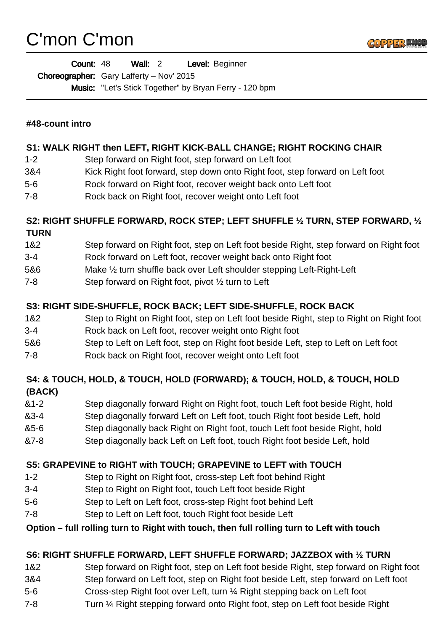# C'mon C'mon



| <b>Count: 48</b>                         | Wall: 2 |  | Level: Beginner                                               |
|------------------------------------------|---------|--|---------------------------------------------------------------|
| Choreographer: Gary Lafferty - Nov' 2015 |         |  |                                                               |
|                                          |         |  | <b>Music:</b> "Let's Stick Together" by Bryan Ferry - 120 bpm |

## **#48-count intro**

### **S1: WALK RIGHT then LEFT, RIGHT KICK-BALL CHANGE; RIGHT ROCKING CHAIR**

- 1-2 Step forward on Right foot, step forward on Left foot
- 3&4 Kick Right foot forward, step down onto Right foot, step forward on Left foot
- 5-6 Rock forward on Right foot, recover weight back onto Left foot
- 7-8 Rock back on Right foot, recover weight onto Left foot

### **S2: RIGHT SHUFFLE FORWARD, ROCK STEP; LEFT SHUFFLE ½ TURN, STEP FORWARD, ½ TURN**

- 1&2 Step forward on Right foot, step on Left foot beside Right, step forward on Right foot
- 3-4 Rock forward on Left foot, recover weight back onto Right foot
- 5&6 Make ½ turn shuffle back over Left shoulder stepping Left-Right-Left
- 7-8 Step forward on Right foot, pivot ½ turn to Left

## **S3: RIGHT SIDE-SHUFFLE, ROCK BACK; LEFT SIDE-SHUFFLE, ROCK BACK**

- 1&2 Step to Right on Right foot, step on Left foot beside Right, step to Right on Right foot
- 3-4 Rock back on Left foot, recover weight onto Right foot
- 5&6 Step to Left on Left foot, step on Right foot beside Left, step to Left on Left foot
- 7-8 Rock back on Right foot, recover weight onto Left foot

# **S4: & TOUCH, HOLD, & TOUCH, HOLD (FORWARD); & TOUCH, HOLD, & TOUCH, HOLD (BACK)**

- &1-2 Step diagonally forward Right on Right foot, touch Left foot beside Right, hold
- &3-4 Step diagonally forward Left on Left foot, touch Right foot beside Left, hold
- &5-6 Step diagonally back Right on Right foot, touch Left foot beside Right, hold
- &7-8 Step diagonally back Left on Left foot, touch Right foot beside Left, hold

# **S5: GRAPEVINE to RIGHT with TOUCH; GRAPEVINE to LEFT with TOUCH**

- 1-2 Step to Right on Right foot, cross-step Left foot behind Right
- 3-4 Step to Right on Right foot, touch Left foot beside Right
- 5-6 Step to Left on Left foot, cross-step Right foot behind Left
- 7-8 Step to Left on Left foot, touch Right foot beside Left

# **Option – full rolling turn to Right with touch, then full rolling turn to Left with touch**

# **S6: RIGHT SHUFFLE FORWARD, LEFT SHUFFLE FORWARD; JAZZBOX with ½ TURN**

- 1&2 Step forward on Right foot, step on Left foot beside Right, step forward on Right foot
- 3&4 Step forward on Left foot, step on Right foot beside Left, step forward on Left foot
- 5-6 Cross-step Right foot over Left, turn ¼ Right stepping back on Left foot
- 7-8 Turn ¼ Right stepping forward onto Right foot, step on Left foot beside Right